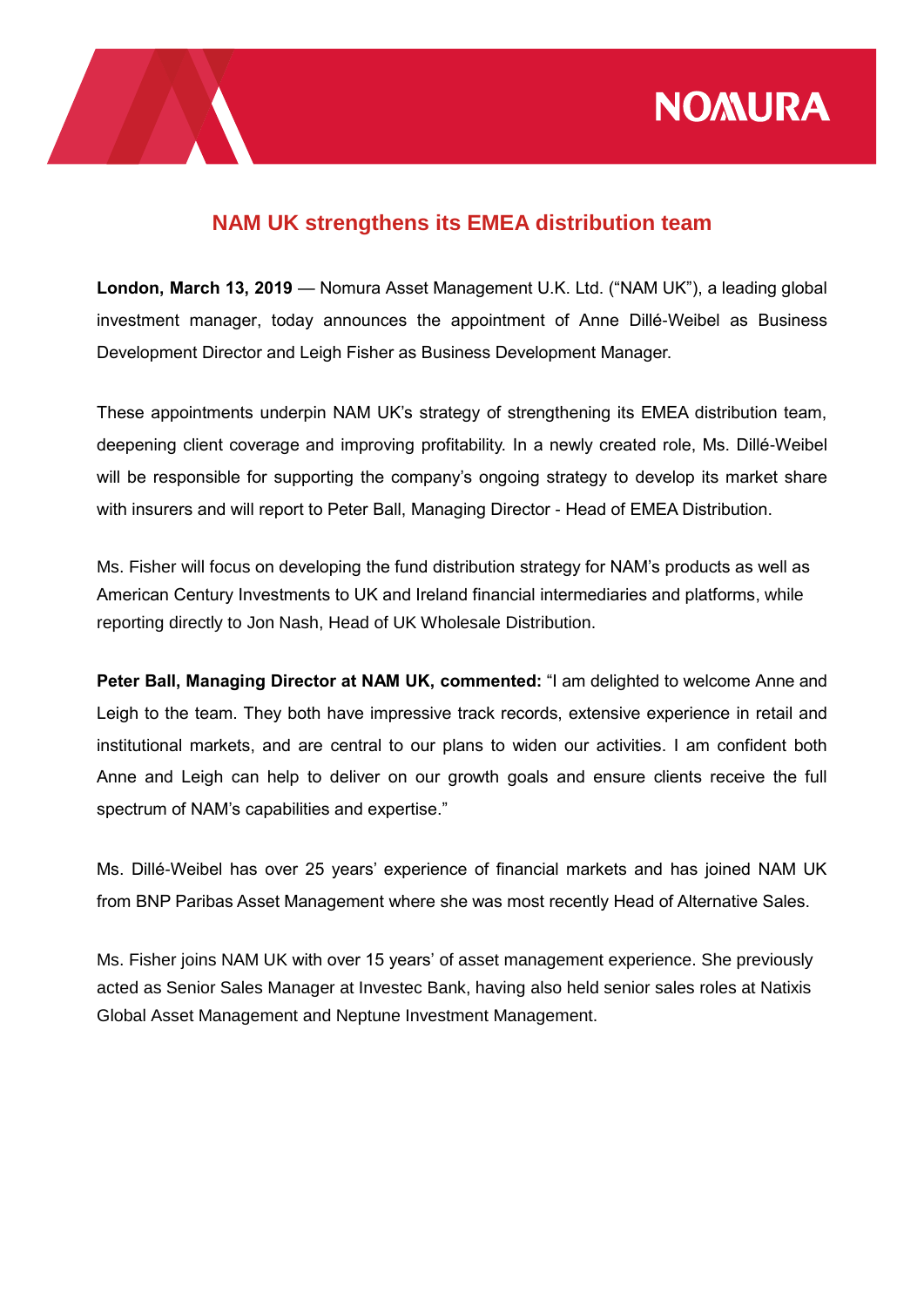

# **NAM UK strengthens its EMEA distribution team**

**London, March 13, 2019** — Nomura Asset Management U.K. Ltd. ("NAM UK"), a leading global investment manager, today announces the appointment of Anne Dillé-Weibel as Business Development Director and Leigh Fisher as Business Development Manager.

These appointments underpin NAM UK's strategy of strengthening its EMEA distribution team, deepening client coverage and improving profitability. In a newly created role, Ms. Dillé-Weibel will be responsible for supporting the company's ongoing strategy to develop its market share with insurers and will report to Peter Ball, Managing Director - Head of EMEA Distribution.

Ms. Fisher will focus on developing the fund distribution strategy for NAM's products as well as American Century Investments to UK and Ireland financial intermediaries and platforms, while reporting directly to Jon Nash, Head of UK Wholesale Distribution.

**Peter Ball, Managing Director at NAM UK, commented:** "I am delighted to welcome Anne and Leigh to the team. They both have impressive track records, extensive experience in retail and institutional markets, and are central to our plans to widen our activities. I am confident both Anne and Leigh can help to deliver on our growth goals and ensure clients receive the full spectrum of NAM's capabilities and expertise."

Ms. Dillé-Weibel has over 25 years' experience of financial markets and has joined NAM UK from BNP Paribas Asset Management where she was most recently Head of Alternative Sales.

Ms. Fisher joins NAM UK with over 15 years' of asset management experience. She previously acted as Senior Sales Manager at Investec Bank, having also held senior sales roles at Natixis Global Asset Management and Neptune Investment Management.